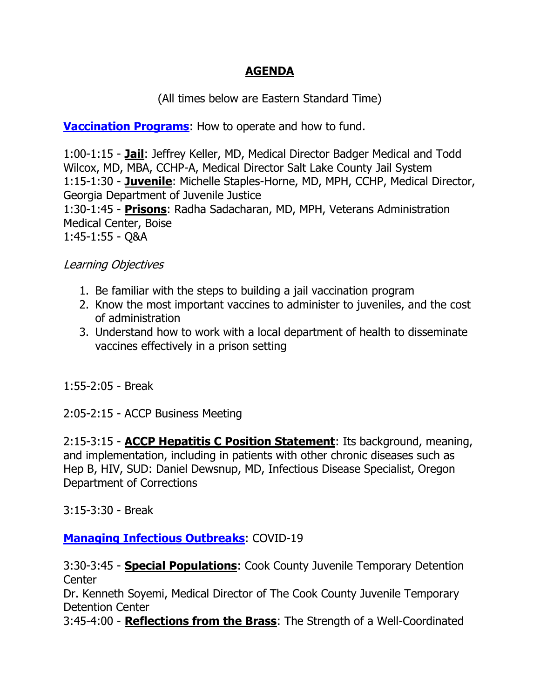# **AGENDA**

(All times below are Eastern Standard Time)

**Vaccination Programs**: How to operate and how to fund.

1:00-1:15 - **Jail**: Jeffrey Keller, MD, Medical Director Badger Medical and Todd Wilcox, MD, MBA, CCHP-A, Medical Director Salt Lake County Jail System 1:15-1:30 - **Juvenile**: Michelle Staples-Horne, MD, MPH, CCHP, Medical Director, Georgia Department of Juvenile Justice

1:30-1:45 - **Prisons**: Radha Sadacharan, MD, MPH, Veterans Administration Medical Center, Boise

1:45-1:55 - Q&A

## Learning Objectives

- 1. Be familiar with the steps to building a jail vaccination program
- 2. Know the most important vaccines to administer to juveniles, and the cost of administration
- 3. Understand how to work with a local department of health to disseminate vaccines effectively in a prison setting
- 1:55-2:05 Break
- 2:05-2:15 ACCP Business Meeting

2:15-3:15 - **ACCP Hepatitis C Position Statement**: Its background, meaning, and implementation, including in patients with other chronic diseases such as Hep B, HIV, SUD: Daniel Dewsnup, MD, Infectious Disease Specialist, Oregon Department of Corrections

3:15-3:30 - Break

### **Managing Infectious Outbreaks**: COVID-19

3:30-3:45 - **Special Populations**: Cook County Juvenile Temporary Detention **Center** 

Dr. Kenneth Soyemi, Medical Director of The Cook County Juvenile Temporary Detention Center

3:45-4:00 - **Reflections from the Brass**: The Strength of a Well-Coordinated